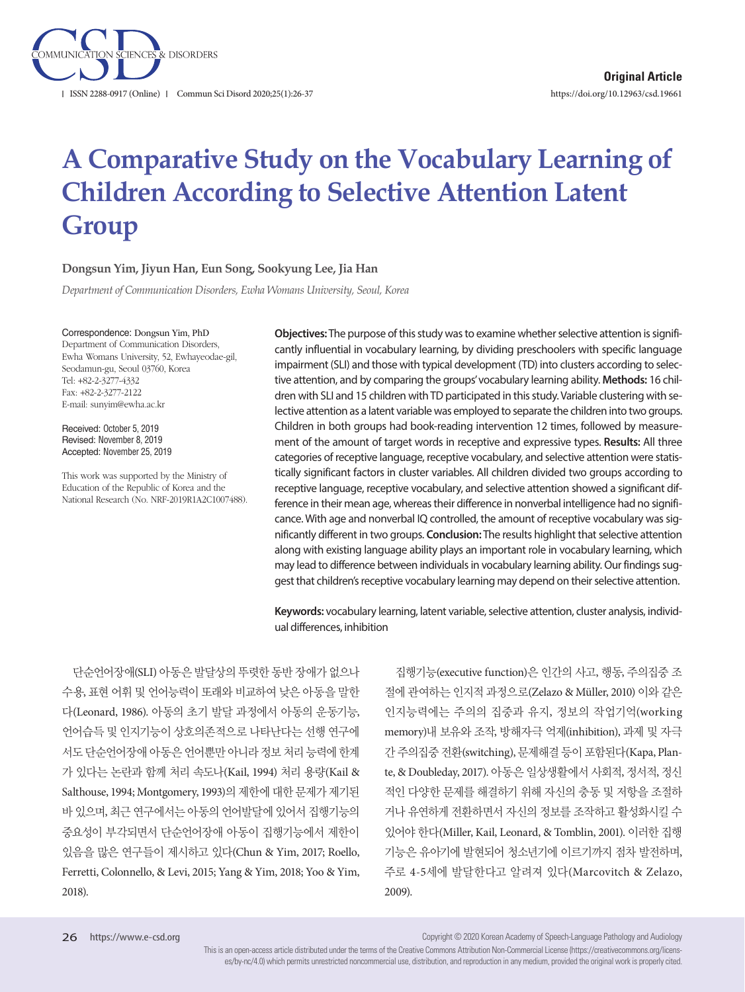

# **A Comparative Study on the Vocabulary Learning of Children According to Selective Attention Latent Group**

#### **Dongsun Yim, Jiyun Han, Eun Song, Sookyung Lee, Jia Han**

*Department of Communication Disorders, Ewha Womans University, Seoul, Korea* 

#### Correspondence: Dongsun Yim, PhD

Department of Communication Disorders, Ewha Womans University, 52, Ewhayeodae-gil, Seodamun-gu, Seoul 03760, Korea Tel: +82-2-3277-4332 Fax: +82-2-3277-2122 E-mail: sunyim@ewha.ac.kr

Received: October 5, 2019 Revised: November 8, 2019 Accepted: November 25, 2019

This work was supported by the Ministry of Education of the Republic of Korea and the National Research (No. NRF-2019R1A2C1007488).

**Objectives:** The purpose of this study was to examine whether selective attention is significantly influential in vocabulary learning, by dividing preschoolers with specific language impairment (SLI) and those with typical development (TD) into clusters according to selective attention, and by comparing the groups' vocabulary learning ability. **Methods:** 16 children with SLI and 15 children with TD participated in this study. Variable clustering with selective attention as a latent variable was employed to separate the children into two groups. Children in both groups had book-reading intervention 12 times, followed by measurement of the amount of target words in receptive and expressive types. **Results:** All three categories of receptive language, receptive vocabulary, and selective attention were statistically significant factors in cluster variables. All children divided two groups according to receptive language, receptive vocabulary, and selective attention showed a significant difference in their mean age, whereas their difference in nonverbal intelligence had no significance. With age and nonverbal IQ controlled, the amount of receptive vocabulary was significantly different in two groups. **Conclusion:** The results highlight that selective attention along with existing language ability plays an important role in vocabulary learning, which may lead to difference between individuals in vocabulary learning ability. Our findings suggest that children's receptive vocabulary learning may depend on their selective attention.

**Keywords:** vocabulary learning, latent variable, selective attention, cluster analysis, individual differences, inhibition

단순언어장애(SLI) 아동은 발달상의 뚜렷한 동반 장애가 없으나 수용, 표현 어휘 및 언어능력이 또래와 비교하여 낮은 아동을 말한 다(Leonard, 1986). 아동의 초기 발달 과정에서 아동의 운동기능, 언어습득 및 인지기능이 상호의존적으로 나타난다는 선행 연구에 서도 단순언어장애 아동은 언어뿐만 아니라 정보 처리 능력에 한계 가 있다는 논란과 함께 처리 속도나(Kail, 1994) 처리 용량(Kail & Salthouse, 1994; Montgomery, 1993)의 제한에 대한 문제가 제기된 바 있으며, 최근 연구에서는 아동의 언어발달에 있어서 집행기능의 중요성이 부각되면서 단순언어장애 아동이 집행기능에서 제한이 있음을 많은 연구들이 제시하고 있다(Chun & Yim, 2017; Roello, Ferretti, Colonnello, & Levi, 2015; Yang & Yim, 2018; Yoo & Yim, 2018).

집행기능(executive function)은 인간의 사고, 행동, 주의집중 조 절에 관여하는 인지적 과정으로(Zelazo & Müller, 2010) 이와 같은 인지능력에는 주의의 집중과 유지, 정보의 작업기억(working memory)내 보유와 조작, 방해자극 억제(inhibition), 과제 및 자극 간주의집중전환(switching), 문제해결등이포함된다(Kapa, Plante, & Doubleday, 2017). 아동은 일상생활에서 사회적, 정서적, 정신 적인 다양한 문제를 해결하기 위해 자신의 충동 및 저항을 조절하 거나 유연하게 전환하면서 자신의 정보를 조작하고 활성화시킬 수 있어야 한다(Miller, Kail, Leonard, & Tomblin, 2001). 이러한 집행 기능은 유아기에 발현되어 청소년기에 이르기까지 점차 발전하며, 주로 4-5세에 발달한다고 알려져 있다(Marcovitch & Zelazo, 2009).

Copyright © 2020 Korean Academy of Speech-Language Pathology and Audiology

This is an open-access article distributed under the terms of the Creative Commons Attribution Non-Commercial License (https://creativecommons.org/licenses/by-nc/4.0) which permits unrestricted noncommercial use, distribution, and reproduction in any medium, provided the original work is properly cited.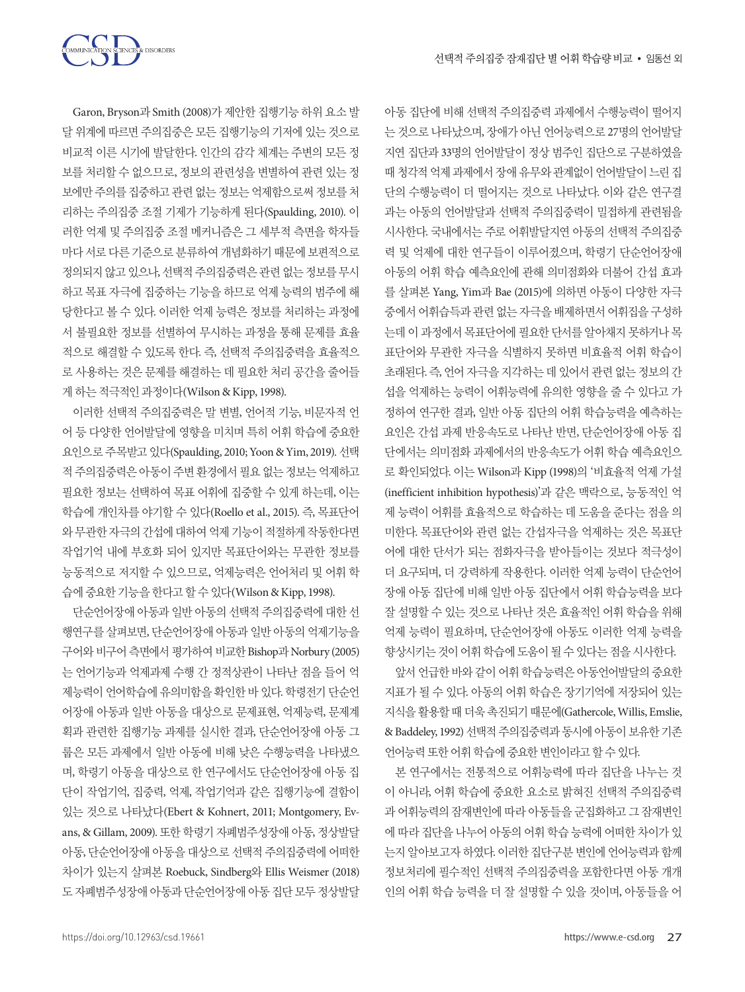

Garon, Bryson과 Smith (2008)가 제안한 집행기능 하위 요소 발 달 위계에 따르면 주의집중은 모든 집행기능의 기저에 있는 것으로 비교적 이른 시기에 발달한다. 인간의 감각 체계는 주변의 모든 정 보를 처리할 수 없으므로, 정보의 관련성을 변별하여 관련 있는 정 보에만 주의를 집중하고 관련 없는 정보는 억제함으로써 정보를 처 리하는 주의집중 조절 기제가 기능하게 된다(Spaulding, 2010). 이 러한 억제 및 주의집중 조절 메커니즘은 그 세부적 측면을 학자들 마다 서로 다른 기준으로 분류하여 개념화하기 때문에 보편적으로 정의되지 않고 있으나, 선택적 주의집중력은 관련 없는 정보를 무시 하고 목표 자극에 집중하는 기능을 하므로 억제 능력의 범주에 해 당한다고 볼 수 있다. 이러한 억제 능력은 정보를 처리하는 과정에 서 불필요한 정보를 선별하여 무시하는 과정을 통해 문제를 효율 적으로 해결할 수 있도록 한다. 즉, 선택적 주의집중력을 효율적으 로 사용하는 것은 문제를 해결하는 데 필요한 처리 공간을 줄어들 게하는적극적인과정이다(Wilson & Kipp, 1998).

이러한 선택적 주의집중력은 말 변별, 언어적 기능, 비문자적 언 어 등 다양한 언어발달에 영향을 미치며 특히 어휘 학습에 중요한 요인으로주목받고있다(Spaulding, 2010; Yoon & Yim, 2019). 선택 적주의집중력은아동이주변환경에서필요없는정보는억제하고 필요한 정보는 선택하여 목표 어휘에 집중할 수 있게 하는데, 이는 학습에 개인차를 야기할 수 있다(Roello et al., 2015). 즉, 목표단어 와무관한자극의간섭에대하여억제기능이적절하게작동한다면 작업기억 내에 부호화 되어 있지만 목표단어와는 무관한 정보를 능동적으로 저지할 수 있으므로, 억제능력은 언어처리 및 어휘 학 습에중요한기능을한다고할수있다(Wilson & Kipp, 1998).

단순언어장애 아동과 일반 아동의 선택적 주의집중력에 대한 선 행연구를 살펴보면, 단순언어장애 아동과 일반 아동의 억제기능을 구어와 비구어측면에서평가하여비교한 Bishop과 Norbury (2005) 는 언어기능과 억제과제 수행 간 정적상관이 나타난 점을 들어 억 제능력이 언어학습에 유의미함을 확인한 바 있다. 학령전기 단순언 어장애 아동과 일반 아동을 대상으로 문제표현, 억제능력, 문제계 획과 관련한 집행기능 과제를 실시한 결과, 단순언어장애 아동 그 룹은 모든 과제에서 일반 아동에 비해 낮은 수행능력을 나타냈으 며, 학령기 아동을 대상으로 한 연구에서도 단순언어장애 아동 집 단이 작업기억, 집중력, 억제, 작업기억과 같은 집행기능에 결함이 있는 것으로 나타났다(Ebert & Kohnert, 2011; Montgomery, Evans, & Gillam, 2009). 또한 학령기 자폐범주성장애 아동, 정상발달 아동, 단순언어장애 아동을 대상으로 선택적 주의집중력에 어떠한 차이가 있는지 살펴본 Roebuck, Sindberg와 Ellis Weismer (2018) 도자폐범주성장애아동과단순언어장애아동집단모두정상발달 아동 집단에 비해 선택적 주의집중력 과제에서 수행능력이 떨어지 는 것으로 나타났으며, 장애가 아닌 언어능력으로 27명의 언어발달 지연 집단과 33명의 언어발달이 정상 범주인 집단으로 구분하였을 때 청각적 억제 과제에서 장애 유무와 관계없이 언어발달이 느리 집 단의 수행능력이 더 떨어지는 것으로 나타났다. 이와 같은 연구결 과는 아동의 언어발달과 선택적 주의집중력이 밀접하게 관련됨을 시사한다. 국내에서는 주로 어휘발달지연 아동의 선택적 주의집중 력 및 억제에 대한 연구들이 이루어졌으며, 학령기 단순언어장애 아동의 어휘 학습 예측요인에 관해 의미점화와 더불어 간섭 효과 를 살펴본 Yang, Yim과 Bae (2015)에 의하면 아동이 다양한 자극 중에서어휘습득과 관련없는자극을 배제하면서 어휘집을 구성하 는데 이 과정에서 목표단어에 필요한 단서를 알아채지 못하거나 목 표단어와 무관한 자극을 식별하지 못하면 비효율적 어휘 학습이 초래된다. 즉, 언어 자극을 지각하는 데 있어서 관련 없는 정보의 간 섭을 억제하는 능력이 어휘능력에 유의한 영향을 줄 수 있다고 가 정하여 연구한 결과, 일반 아동 집단의 어휘 학습능력을 예측하는 요인은 간섭 과제 반응속도로 나타난 반면, 단순언어장애 아동 집 단에서는 의미점화 과제에서의 반응속도가 어휘 학습 예측요인으 로 확인되었다. 이는 Wilson과 Kipp (1998)의 '비효율적 억제 가설 (inefficient inhibition hypothesis)'과 같은 맥락으로, 능동적인 억 제 능력이 어휘를 효율적으로 학습하는 데 도움을 준다는 점을 의 미한다. 목표단어와 관련 없는 간섭자극을 억제하는 것은 목표단 어에 대한 단서가 되는 점화자극을 받아들이는 것보다 적극성이 더 요구되며, 더 강력하게 작용한다. 이러한 억제 능력이 단순언어 장애 아동 집단에 비해 일반 아동 집단에서 어휘 학습능력을 보다 잘 설명할 수 있는 것으로 나타난 것은 효율적인 어휘 학습을 위해 억제 능력이 필요하며, 단순언어장애 아동도 이러한 억제 능력을 향상시키는 것이 어휘 학습에 도움이 될 수 있다는 점을 시사한다.

앞서 언급한 바와 같이 어휘 학습능력은 아동언어발달의 중요한 지표가 될 수 있다. 아동의 어휘 학습은 장기기억에 저장되어 있는 지식을 활용할때더욱촉진되기때문에(Gathercole, Willis, Emslie, & Baddeley, 1992) 선택적 주의집중력과 동시에 아동이 보유한 기존 언어능력 또한 어휘 학습에 중요한 변인이라고 할 수 있다.

본 연구에서는 전통적으로 어휘능력에 따라 집단을 나누는 것 이 아니라, 어휘 학습에 중요한 요소로 밝혀진 선택적 주의집중력 과 어휘능력의 잠재변인에 따라 아동들을 군집화하고 그 잠재변인 에 따라 집단을 나누어 아동의 어휘 학습 능력에 어떠한 차이가 있 는지 알아보고자 하였다. 이러한 집단구분 변인에 언어능력과 함께 정보처리에 필수적인 선택적 주의집중력을 포함한다면 아동 개개 인의 어휘 학습 능력을 더 잘 설명할 수 있을 것이며, 아동들을 어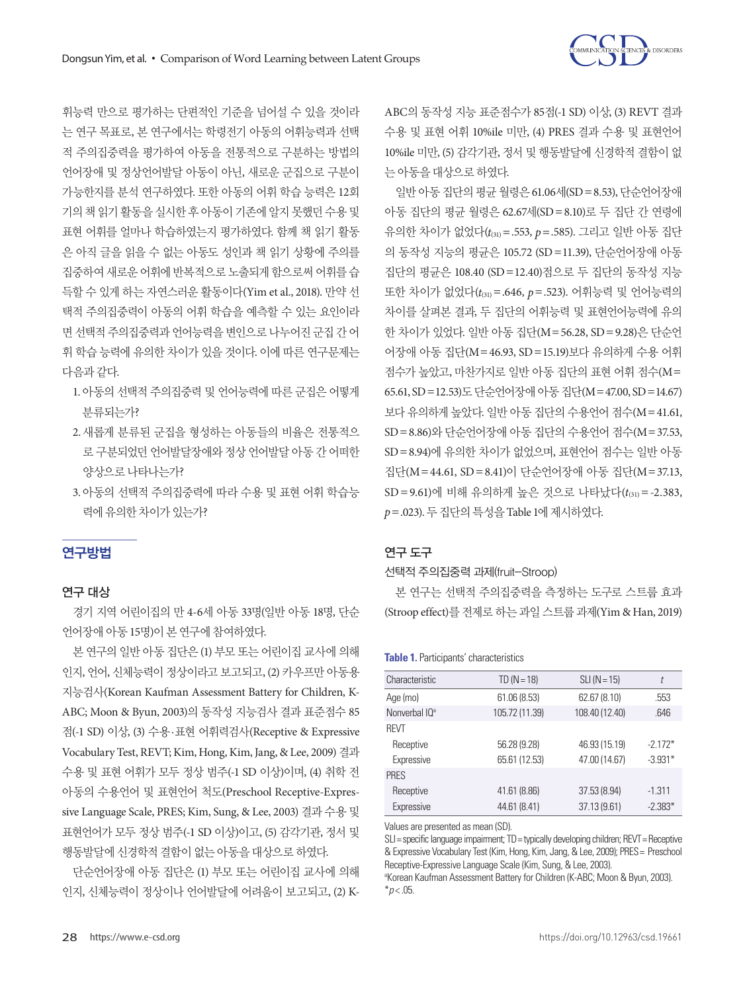

휘능력 만으로 평가하는 단편적인 기준을 넘어설 수 있을 것이라 는 연구 목표로, 본 연구에서는 학령전기 아동의 어휘능력과 선택 적 주의집중력을 평가하여 아동을 전통적으로 구분하는 방법의 언어장애 및 정상언어발달 아동이 아닌, 새로운 군집으로 구분이 가능한지를 분석 연구하였다. 또한 아동의 어휘 학습 능력은 12회 기의 책 읽기활동을실시한 후 아동이 기존에 알지못했던 수용 및 표현 어휘를 얼마나 학습하였는지 평가하였다. 함께 책 읽기 활동 은 아직 글을 읽을 수 없는 아동도 성인과 책 읽기 상황에 주의를 집중하여 새로운 어휘에 반복적으로 노출되게 함으로써 어휘를 습 득할 수 있게 하는 자연스러운 활동이다(Yim et al., 2018). 만약 선 택적 주의집중력이 아동의 어휘 학습을 예측할 수 있는 요인이라 면 선택적 주의집중력과 언어능력을 변인으로나누어진 군집간 어 휘 학습 능력에 유의한 차이가 있을 것이다. 이에 따른 연구문제는 다음과같다.

- 1. 아동의 선택적 주의집중력 및 언어능력에 따른 군집은 어떻게 분류되는가?
- 2. 새롭게 분류된 군집을 형성하는 아동들의 비율은 전통적으 로 구분되었던 언어발달장애와 정상 언어발달 아동 간 어떠한 양상으로나타나는가?
- 3. 아동의 선택적 주의집중력에 따라 수용 및 표현 어휘 학습능 력에유의한차이가있는가?

## 연구방법

### 연구 대상

경기 지역 어린이집의 만 4-6세 아동 33명(일반 아동 18명, 단순 언어장애 아동 15명)이 본 연구에 참여하였다.

본 연구의 일반 아동 집단은 (1) 부모 또는 어린이집 교사에 의해 인지, 언어, 신체능력이 정상이라고 보고되고, (2) 카우프만 아동용 지능검사(Korean Kaufman Assessment Battery for Children, K-ABC; Moon & Byun, 2003)의 동작성 지능검사 결과 표준점수 85 점(-1 SD) 이상, (3) 수용·표현 어휘력검사(Receptive & Expressive Vocabulary Test, REVT; Kim, Hong, Kim, Jang, & Lee, 2009) 결과 수용 및 표현 어휘가 모두 정상 범주(-1 SD 이상)이며, (4) 취학 전 아동의 수용언어 및 표현언어 척도(Preschool Receptive-Expressive Language Scale, PRES; Kim, Sung, & Lee, 2003) 결과 수용 및 표현언어가 모두 정상 범주(-1 SD 이상)이고, (5) 감각기관, 정서 및 행동발달에 신경학적 결함이 없는 아동을 대상으로 하였다.

단순언어장애 아동 집단은 (1) 부모 또는 어린이집 교사에 의해 인지, 신체능력이 정상이나 언어발달에 어려움이 보고되고, (2) K-

ABC의 동작성 지능 표준점수가 85점(-1 SD) 이상, (3) REVT 결과 수용 및 표현 어휘 10%ile 미만, (4) PRES 결과 수용 및 표현언어 10%ile 미만, (5) 감각기관, 정서 및 행동발달에 신경학적 결함이 없 는아동을대상으로하였다.

일반 아동 집단의 평균 월령은 61.06세(SD=8.53), 단순언어장애 아동 집단의 평균 월령은 62.67세(SD=8.10)로 두 집단 간 연령에 유의한 차이가 없었다(*t*(31)=.553, *p*=.585). 그리고 일반 아동 집단 의 동작성 지능의 평균은 105.72 (SD=11.39), 단순언어장애 아동 집단의 평균은 108.40 (SD=12.40)점으로 두 집단의 동작성 지능 또한 차이가 없었다(*t*(31)=.646, *p*=.523). 어휘능력 및 언어능력의 차이를 살펴본 결과, 두 집단의 어휘능력 및 표현언어능력에 유의 한 차이가 있었다. 일반 아동 집단(M=56.28, SD=9.28)은 단순언 어장애 아동 집단(M=46.93, SD=15.19)보다 유의하게 수용 어휘 점수가 높았고, 마찬가지로 일반 아동 집단의 표현 어휘 점수(M= 65.61, SD=12.53)도단순언어장애아동집단(M=47.00, SD=14.67) 보다 유의하게 높았다. 일반 아동 집단의 수용언어 점수(M=41.61, SD=8.86)와 단순언어장애 아동 집단의 수용언어 점수(M=37.53, SD=8.94)에 유의한 차이가 없었으며, 표현언어 점수는 일반 아동 집단(M=44.61, SD=8.41)이 단순언어장애 아동 집단(M=37.13, SD = 9.61)에 비해 유의하게 높은 것으로 나타났다( $t_{(31)}$  = -2.383, *p*=.023). 두집단의특성을 Table 1에제시하였다.

#### 연구 도구

#### 선택적 주의집중력 과제(fruit-Stroop)

본 연구는 선택적 주의집중력을 측정하는 도구로 스트룹 효과 (Stroop effect)를 전제로 하는 과일 스트룹 과제(Yim & Han, 2019)

| Table 1. Participants' characteristics |  |  |  |
|----------------------------------------|--|--|--|
|----------------------------------------|--|--|--|

| Characteristic            | $TD(N = 18)$   | $SLI$ (N = 15) | t         |
|---------------------------|----------------|----------------|-----------|
| Age (mo)                  | 61.06 (8.53)   | 62.67 (8.10)   | .553      |
| Nonverbal IQ <sup>a</sup> | 105.72 (11.39) | 108.40 (12.40) | .646      |
| <b>REVT</b>               |                |                |           |
| Receptive                 | 56.28 (9.28)   | 46.93 (15.19)  | $-2.172*$ |
| Expressive                | 65.61 (12.53)  | 47.00 (14.67)  | $-3.931*$ |
| <b>PRES</b>               |                |                |           |
| Receptive                 | 41.61 (8.86)   | 37.53 (8.94)   | $-1.311$  |
| Expressive                | 44.61 (8.41)   | 37.13 (9.61)   | $-2.383*$ |
|                           |                |                |           |

Values are presented as mean (SD).

SLI=specific language impairment; TD=typically developing children; REVT=Receptive & Expressive Vocabulary Test (Kim, Hong, Kim, Jang, & Lee, 2009); PRES= Preschool Receptive-Expressive Language Scale (Kim, Sung, & Lee, 2003).

<sup>a</sup>Korean Kaufman Assessment Battery for Children (K-ABC; Moon & Byun, 2003).  $*$ *p* < .05.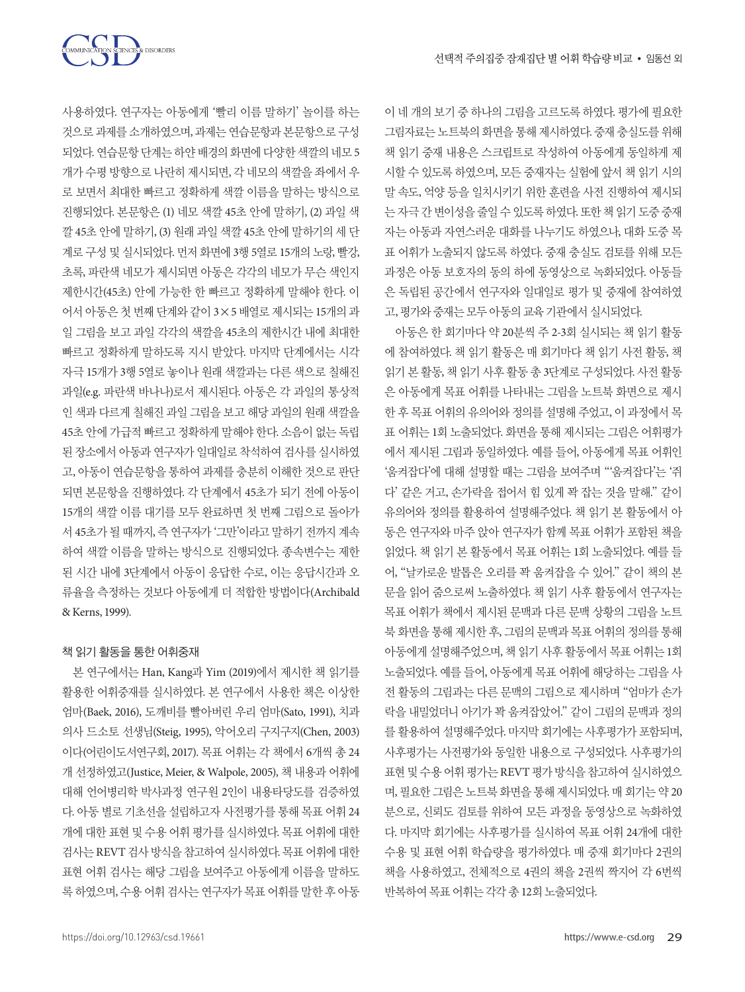

사용하였다. 연구자는 아동에게 '빨리 이름 말하기' 놀이를 하는 것으로 과제를 소개하였으며, 과제는 연습문항과 본문항으로 구성 되었다. 연습문항 단계는 하얀 배경의 화면에 다양한 색깔의 네모 5 개가 수평 방향으로 나란히 제시되면, 각 네모의 색깔을 좌에서 우 로 보면서 최대한 빠르고 정확하게 색깔 이름을 말하는 방식으로 진행되었다. 본문항은 (1) 네모 색깔 45초 안에 말하기, (2) 과일 색 깔 45초 안에 말하기, (3) 원래 과일 색깔 45초 안에 말하기의 세 단 계로 구성 및 실시되었다. 먼저 화면에 3행 5열로 15개의 노랑, 빨강, 초록, 파란색 네모가 제시되면 아동은 각각의 네모가 무슨 색인지 제한시간(45초) 안에 가능한 한 빠르고 정확하게 말해야 한다. 이 어서 아동은 첫 번째 단계와 같이 3×5 배열로 제시되는 15개의 과 일 그림을 보고 과일 각각의 색깔을 45초의 제한시간 내에 최대한 빠르고 정확하게 말하도록 지시 받았다. 마지막 단계에서는 시각 자극 15개가 3행 5열로 놓이나 원래 색깔과는 다른 색으로 칠해진 과일(e.g. 파란색 바나나)로서 제시된다. 아동은 각 과일의 통상적 인 색과 다르게 칠해진 과일 그림을 보고 해당 과일의 원래 색깔을 45초 안에 가급적 빠르고 정확하게 말해야 한다. 소음이 없는 독립 된 장소에서 아동과 연구자가 일대일로 착석하여 검사를 실시하였 고, 아동이 연습문항을 통하여 과제를 충분히 이해한 것으로 판단 되면 본문항을 진행하였다. 각 단계에서 45초가 되기 전에 아동이 15개의 색깔 이름 대기를 모두 완료하면 첫 번째 그림으로 돌아가 서 45초가 될 때까지, 즉 연구자가 '그만'이라고 말하기 전까지 계속 하여 색깔 이름을 말하는 방식으로 진행되었다. 종속변수는 제한 된 시간 내에 3단계에서 아동이 응답한 수로, 이는 응답시간과 오 류율을 측정하는 것보다 아동에게 더 적합한 방법이다(Archibald & Kerns, 1999).

#### 책 읽기 활동을 통한 어휘중재

본 연구에서는 Han, Kang과 Yim (2019)에서 제시한 책 읽기를 활용한 어휘중재를 실시하였다. 본 연구에서 사용한 책은 이상한 엄마(Baek, 2016), 도깨비를 빨아버린 우리 엄마(Sato, 1991), 치과 의사 드소토 선생님(Steig, 1995), 악어오리 구지구지(Chen, 2003) 이다(어린이도서연구회, 2017). 목표 어휘는 각 책에서 6개씩 총 24 개 선정하였고(Justice, Meier, & Walpole, 2005), 책 내용과 어휘에 대해 언어병리학 박사과정 연구원 2인이 내용타당도를 검증하였 다. 아동 별로 기초선을 설립하고자 사전평가를 통해 목표 어휘 24 개에 대한 표현 및 수용 어휘 평가를 실시하였다. 목표 어휘에 대한 검사는 REVT 검사 방식을 참고하여 실시하였다. 목표 어휘에 대한 표현 어휘 검사는 해당 그림을 보여주고 아동에게 이름을 말하도 록 하였으며, 수용 어휘 검사는 연구자가 목표 어휘를 말한 후 아동

이 네 개의 보기 중 하나의 그림을 고르도록 하였다. 평가에 필요한 그림자료는 노트북의 화면을 통해 제시하였다. 중재 충실도를 위해 책 읽기 중재 내용은 스크립트로 작성하여 아동에게 동일하게 제 시할 수 있도록 하였으며, 모든 중재자는 실험에 앞서 책 읽기 시의 말 속도, 억양 등을 일치시키기 위한 훈련을 사전 진행하여 제시되 는자극간변이성을줄일수있도록하였다. 또한책읽기도중중재 자는 아동과 자연스러운 대화를 나누기도 하였으나, 대화 도중 목 표 어휘가 노출되지 않도록 하였다. 중재 충실도 검토를 위해 모든 과정은 아동 보호자의 동의 하에 동영상으로 녹화되었다. 아동들 은 독립된 공간에서 연구자와 일대일로 평가 및 중재에 참여하였 고, 평가와 중재는 모두 아동의 교육 기관에서 실시되었다.

아동은 한 회기마다 약 20분씩 주 2-3회 실시되는 책 읽기 활동 에 참여하였다. 책 읽기 활동은 매 회기마다 책 읽기 사전 활동, 책 읽기 본 활동, 책 읽기 사후 활동 총 3단계로 구성되었다. 사전 활동 은 아동에게 목표 어휘를 나타내는 그림을 노트북 화면으로 제시 한 후 목표 어휘의 유의어와 정의를 설명해 주었고, 이 과정에서 목 표 어휘는 1회 노출되었다. 화면을 통해 제시되는 그림은 어휘평가 에서 제시된 그림과 동일하였다. 예를 들어, 아동에게 목표 어휘인 '움켜잡다'에 대해 설명할 때는 그림을 보여주며 "'움켜잡다'는 '쥐 다' 같은 거고, 손가락을 접어서 힘 있게 꽉 잡는 것을 말해." 같이 유의어와 정의를 활용하여 설명해주었다. 책 읽기 본 활동에서 아 동은 연구자와 마주 앉아 연구자가 함께 목표 어휘가 포함된 책을 읽었다. 책 읽기 본 활동에서 목표 어휘는 1회 노출되었다. 예를 들 어, "날카로운 발톱은 오리를 꽉 움켜잡을 수 있어." 같이 책의 본 문을 읽어 줌으로써 노출하였다. 책 읽기 사후 활동에서 연구자는 목표 어휘가 책에서 제시된 문맥과 다른 문맥 상황의 그림을 노트 북 화면을 통해 제시한 후, 그림의 문맥과 목표 어휘의 정의를 통해 아동에게 설명해주었으며, 책 읽기 사후 활동에서 목표 어휘는 1회 노출되었다. 예를 들어, 아동에게 목표 어휘에 해당하는 그림을 사 전 활동의 그림과는 다른 문맥의 그림으로 제시하며 "엄마가 손가 락을 내밀었더니 아기가 꽉 움켜잡았어." 같이 그림의 문맥과 정의 를 활용하여 설명해주었다. 마지막 회기에는 사후평가가 포함되며, 사후평가는 사전평가와 동일한 내용으로 구성되었다. 사후평가의 표현 및 수용 어휘 평가는 REVT 평가 방식을 참고하여 실시하였으 며, 필요한 그림은 노트북 화면을 통해 제시되었다. 매 회기는 약 20 분으로, 신뢰도 검토를 위하여 모든 과정을 동영상으로 녹화하였 다. 마지막 회기에는 사후평가를 실시하여 목표 어휘 24개에 대한 수용 및 표현 어휘 학습량을 평가하였다. 매 중재 회기마다 2권의 책을 사용하였고, 전체적으로 4권의 책을 2권씩 짝지어 각 6번씩 반복하여목표어휘는각각총 12회노출되었다.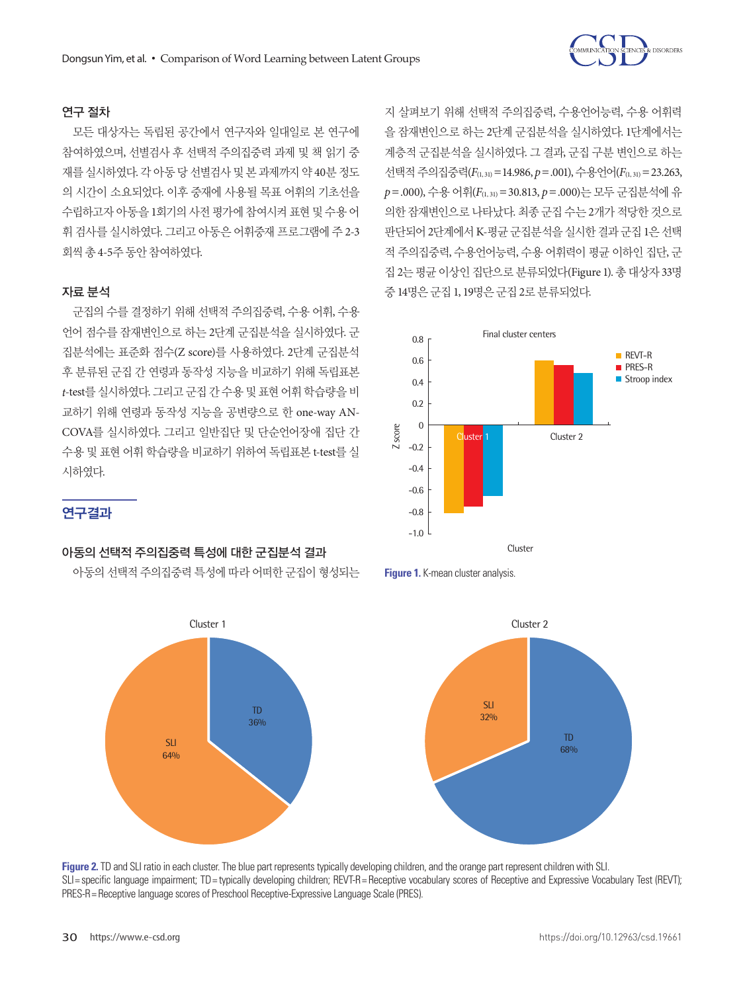

## 연구 절차

모든 대상자는 독립된 공간에서 연구자와 일대일로 본 연구에 참여하였으며, 선별검사 후 선택적 주의집중력 과제 및 책 읽기 중 재를 실시하였다. 각 아동 당 선별검사 및 본 과제까지 약 40분 정도 의 시간이 소요되었다. 이후 중재에 사용될 목표 어휘의 기초선을 수립하고자 아동을 1회기의 사전 평가에 참여시켜 표현 및 수용 어 휘 검사를 실시하였다. 그리고 아동은 어휘중재 프로그램에 주 2-3 회씩총 4-5주동안참여하였다.

#### 자료 분석

군집의 수를 결정하기 위해 선택적 주의집중력, 수용 어휘, 수용 언어 점수를 잠재변인으로 하는 2단계 군집분석을 실시하였다. 군 집분석에는 표준화 점수(Z score)를 사용하였다. 2단계 군집분석 후 분류된 군집 간 연령과 동작성 지능을 비교하기 위해 독립표본 *t*-test를 실시하였다. 그리고 군집 간 수용 및 표현 어휘 학습량을 비 교하기 위해 연령과 동작성 지능을 공변량으로 한 one-way AN-COVA를 실시하였다. 그리고 일반집단 및 단순언어장애 집단 간 수용 및 표현 어휘 학습량을 비교하기 위하여 독립표본 t-test를 실 시하였다.

지 살펴보기 위해 선택적 주의집중력, 수용언어능력, 수용 어휘력 을 잠재변인으로 하는 2단계 군집분석을 실시하였다. 1단계에서는 계층적 군집분석을 실시하였다. 그 결과, 군집 구분 변인으로 하는 선택적 주의집중력( $F_{(1, 31)} = 14.986$ ,  $p = .001$ ), 수용언어( $F_{(1, 31)} = 23.263$ , *p*=.000), 수용 어휘(*F*(1, 31)=30.813, *p*=.000)는 모두 군집분석에 유 의한 잠재변인으로 나타났다. 최종 군집 수는 2개가 적당한 것으로 판단되어 2단계에서 K-평균 군집분석을 실시한 결과 군집 1은 선택 적 주의집중력, 수용언어능력, 수용 어휘력이 평균 이하인 집단, 군 집 2는 평균 이상인 집단으로 분류되었다(Figure 1). 총 대상자 33명 중 14명은군집 1, 19명은군집 2로분류되었다.





#### 아동의 선택적 주의집중력 특성에 대한 군집분석 결과

아동의 선택적 주의집중력 특성에 따라 어떠한 군집이 형성되는





**Figure 2.** TD and SLI ratio in each cluster. The blue part represents typically developing children, and the orange part represent children with SLI. The specific language impairment; TD = typically developing children; REVT-R= Receptive vocabulary scores of Receptive and Expressive Vocabulary Test (REVT); The SLIE specific language impairment; TD = typically developing PRES-R= Receptive language scores of Preschool Receptive-Expressive Language Scale (PRES).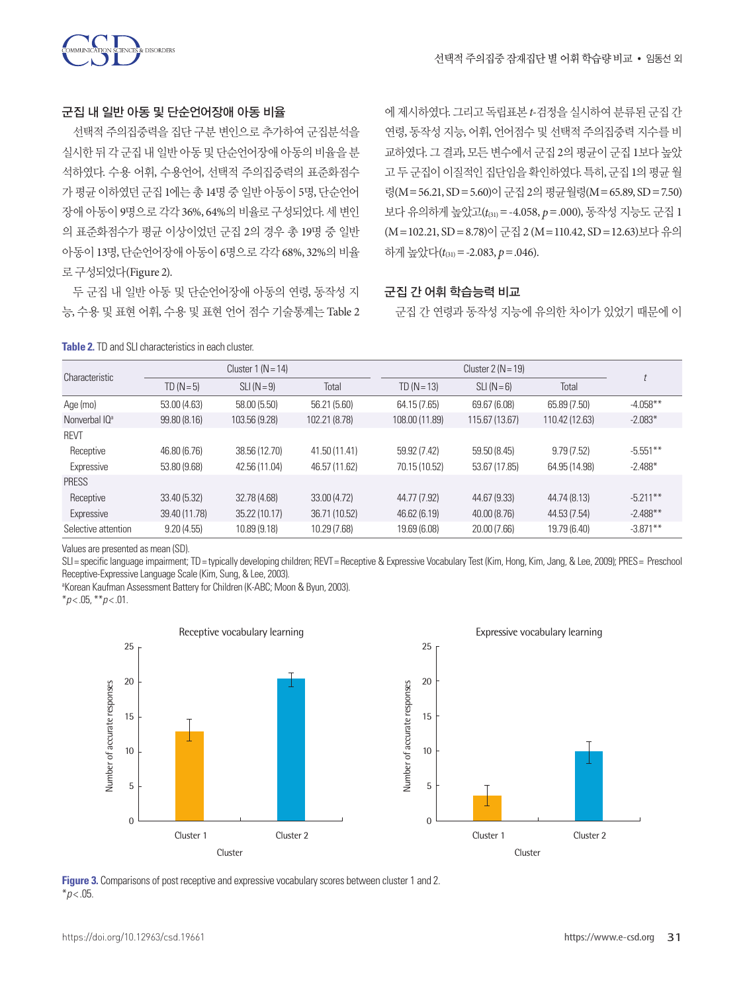

#### 군집 내 일반 아동 및 단순언어장애 아동 비율

선택적 주의집중력을 집단 구분 변인으로 추가하여 군집분석을 실시한 뒤 각 군집 내 일반 아동 및 단순언어장애 아동의 비율을 분 석하였다. 수용 어휘, 수용언어, 선택적 주의집중력의 표준화점수 가 평균 이하였던 군집 1에는 총 14명 중 일반 아동이 5명, 단순언어 장애 아동이 9명으로 각각 36%, 64%의 비율로 구성되었다. 세 변인 의 표준화점수가 평균 이상이었던 군집 2의 경우 총 19명 중 일반 아동이 13명, 단순언어장애 아동이 6명으로 각각 68%, 32%의 비율 로구성되었다(Figure 2).

두 군집 내 일반 아동 및 단순언어장애 아동의 연령, 동작성 지 능, 수용 및 표현 어휘, 수용 및 표현 언어 점수 기술통계는 Table 2

에 제시하였다. 그리고 독립표본 *t*-검정을 실시하여 분류된 군집 간 연령, 동작성 지능, 어휘, 언어점수 및 선택적 주의집중력 지수를 비 교하였다. 그 결과, 모든 변수에서 군집 2의 평균이 군집 1보다 높았 고 두 군집이 이질적인 집단임을 확인하였다. 특히, 군집 1의 평균 월 령(M=56.21, SD=5.60)이 군집 2의 평규월령(M=65.89, SD=7.50) 보다 유의하게 높았고(*t*(31)=-4.058, *p*=.000), 동작성 지능도 군집 1 (M=102.21, SD=8.78)이 군집 2 (M=110.42, SD=12.63)보다 유의 하게 높았다( $t_{(31)}$ = -2.083, p = .046).

#### 군집 간 어휘 학습능력 비교

군집 간 연령과 동작성 지능에 유의한 차이가 있었기 때문에 이

| <b>Table 2.</b> TD and SLI characteristics in each cluster. |
|-------------------------------------------------------------|
|-------------------------------------------------------------|

| Characteristic            | Cluster $1(N=14)$ |               | Cluster $2(N = 19)$ |                |                |                |             |
|---------------------------|-------------------|---------------|---------------------|----------------|----------------|----------------|-------------|
|                           | $TD(N=5)$         | $SLI(N=9)$    | Total               | $TD (N = 13)$  | $SLI(N=6)$     | Total          |             |
| Age (mo)                  | 53.00(4.63)       | 58.00 (5.50)  | 56.21 (5.60)        | 64.15 (7.65)   | 69.67 (6.08)   | 65.89 (7.50)   | $-4.058**$  |
| Nonverbal IO <sup>a</sup> | 99.80(8.16)       | 103.56 (9.28) | 102.21 (8.78)       | 108.00 (11.89) | 115.67 (13.67) | 110.42 (12.63) | $-2.083*$   |
| <b>REVT</b>               |                   |               |                     |                |                |                |             |
| Receptive                 | 46.80 (6.76)      | 38.56 (12.70) | 41.50 (11.41)       | 59.92 (7.42)   | 59.50 (8.45)   | 9.79(7.52)     | $-5.551**$  |
| Expressive                | 53.80 (9.68)      | 42.56 (11.04) | 46.57 (11.62)       | 70.15 (10.52)  | 53.67 (17.85)  | 64.95 (14.98)  | $-2.488*$   |
| <b>PRESS</b>              |                   |               |                     |                |                |                |             |
| Receptive                 | 33.40 (5.32)      | 32.78 (4.68)  | 33.00 (4.72)        | 44.77 (7.92)   | 44.67 (9.33)   | 44.74 (8.13)   | $-5.211**$  |
| Expressive                | 39.40 (11.78)     | 35.22 (10.17) | 36.71 (10.52)       | 46.62 (6.19)   | 40.00 (8.76)   | 44.53 (7.54)   | $-2.488**$  |
| Selective attention       | 9.20(4.55)        | 10.89 (9.18)  | 10.29 (7.68)        | 19.69 (6.08)   | 20.00 (7.66)   | 19.79 (6.40)   | $-3.871***$ |

Values are presented as mean (SD).

SLI= specific language impairment; TD= typically developing children; REVT= Receptive & Expressive Vocabulary Test (Kim, Hong, Kim, Jang, & Lee, 2009); PRES= Preschool Receptive-Expressive Language Scale (Kim, Sung, & Lee, 2003).

<sup>a</sup>Korean Kaufman Assessment Battery for Children (K-ABC; Moon & Byun, 2003).

\**p* < .05, \*\**p* < .01.



**Figure 3.** Comparisons of post receptive and expressive vocabulary scores between cluster 1 and 2.  $*p$  < .05.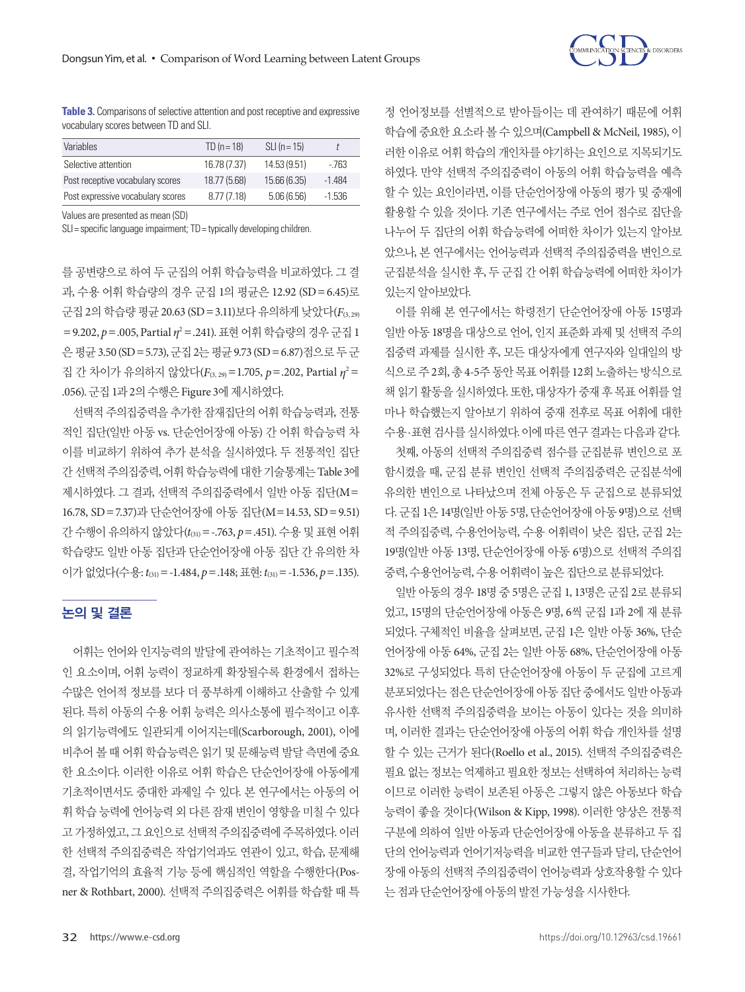

**Table 3.** Comparisons of selective attention and post receptive and expressive vocabulary scores between TD and SLI.

| <b>Variables</b>                  | $TD (n = 18)$ | $SLI(n = 15)$ |          |
|-----------------------------------|---------------|---------------|----------|
| Selective attention               | 16.78 (7.37)  | 14.53 (9.51)  | - 763    |
| Post receptive vocabulary scores  | 18.77 (5.68)  | 15.66 (6.35)  | -1 484   |
| Post expressive vocabulary scores | 8.77(7.18)    | 5.06(6.56)    | $-1.536$ |

Values are presented as mean (SD)

SLI= specific language impairment; TD= typically developing children.

를 공변량으로 하여 두 군집의 어휘 학습능력을 비교하였다. 그 결 과, 수용 어휘 학습량의 경우 군집 1의 평균은 12.92 (SD=6.45)로 군집 2의 학습량 평균 20.63 (SD=3.11)보다 유의하게 낮았다(*F*(3, 29) =9.202, *p*=.005, Partial *η*<sup>2</sup> =.241). 표현어휘학습량의경우군집 1 은 평균 3.50 (SD = 5.73), 군집 2는 평균 9.73 (SD = 6.87)점으로 두 군 집 간 차이가 유의하지 않았다(F<sub>(3, 29)</sub>=1.705, *p*=.202, Partial η<sup>2</sup>= .056). 군집 1과 2의 수행은 Figure 3에 제시하였다.

선택적 주의집중력을 추가한 잠재집단의 어휘 학습능력과, 전통 적인 집단(일반 아동 vs. 단순언어장애 아동) 간 어휘 학습능력 차 이를 비교하기 위하여 추가 분석을 실시하였다. 두 전통적인 집단 간 선택적주의집중력, 어휘학습능력에대한기술통계는 Table 3에 제시하였다. 그 결과, 선택적 주의집중력에서 일반 아동 집단(M= 16.78, SD=7.37)과 단순언어장애 아동 집단(M=14.53, SD=9.51) 간 수행이 유의하지 않았다(*t*(31)=-.763, *p*=.451). 수용 및 표현 어휘 학습량도 일반 아동 집단과 단순언어장애 아동 집단 간 유의한 차 이가없었다(수용: *t*(31)=-1.484, *p*=.148; 표현: *t*(31)=-1.536, *p*=.135).

## 논의 및 결론

어휘는 언어와 인지능력의 발달에 관여하는 기초적이고 필수적 인 요소이며, 어휘 능력이 정교하게 확장될수록 환경에서 접하는 수많은 언어적 정보를 보다 더 풍부하게 이해하고 산출할 수 있게 된다. 특히 아동의 수용 어휘 능력은 의사소통에 필수적이고 이후 의 읽기능력에도 일관되게 이어지는데(Scarborough, 2001), 이에 비추어 볼 때 어휘 학습능력은 읽기 및 문해능력 발달 측면에 중요 한 요소이다. 이러한 이유로 어휘 학습은 단순언어장애 아동에게 기초적이면서도 중대한 과제일 수 있다. 본 연구에서는 아동의 어 휘 학습 능력에 언어능력 외 다른 잠재 변인이 영향을 미칠 수 있다 고 가정하였고, 그 요인으로 선택적 주의집중력에 주목하였다. 이러 한 선택적 주의집중력은 작업기억과도 연관이 있고, 학습, 문제해 결, 작업기억의 효율적 기능 등에 핵심적인 역할을 수행한다(Posner & Rothbart, 2000). 선택적 주의집중력은 어휘를 학습할 때 특

정 언어정보를 선별적으로 받아들이는 데 관여하기 때문에 어휘 학습에 중요한 요소라 볼 수 있으며(Campbell & McNeil, 1985), 이 러한 이유로 어휘 학습의 개인차를 야기하는 요인으로 지목되기도 하였다. 만약 선택적 주의집중력이 아동의 어휘 학습능력을 예측 할 수 있는 요인이라면, 이를 단순언어장애 아동의 평가 및 중재에 활용할 수 있을 것이다. 기존 연구에서는 주로 언어 점수로 집단을 나누어 두 집단의 어휘 학습능력에 어떠한 차이가 있는지 알아보 았으나, 본 연구에서는 언어능력과 선택적 주의집중력을 변인으로 군집분석을 실시한 후, 두 군집 간 어휘 학습능력에 어떠한 차이가 있는지알아보았다.

이를 위해 본 연구에서는 학령전기 단순언어장애 아동 15명과 일반 아동 18명을 대상으로 언어, 인지 표준화 과제 및 선택적 주의 집중력 과제를 실시한 후, 모든 대상자에게 연구자와 일대일의 방 식으로 주 2회, 총 4-5주 동안 목표 어휘를 12회 노출하는 방식으로 책 읽기 활동을 실시하였다. 또한, 대상자가 중재 후 목표 어휘를 얼 마나 학습했는지 알아보기 위하여 중재 전후로 목표 어휘에 대한 수용·표현검사를실시하였다. 이에따른연구결과는다음과같다.

첫째, 아동의 선택적 주의집중력 점수를 군집분류 변인으로 포 함시켰을 때, 군집 분류 변인인 선택적 주의집중력은 군집분석에 유의한 변인으로 나타났으며 전체 아동은 두 군집으로 분류되었 다. 군집 1은 14명(일반 아동 5명, 단순언어장애 아동 9명)으로 선택 적 주의집중력, 수용언어능력, 수용 어휘력이 낮은 집단, 군집 2는 19명(일반 아동 13명, 단순언어장애 아동 6명)으로 선택적 주의집 중력, 수용언어능력, 수용어휘력이높은집단으로분류되었다.

일반 아동의 경우 18명 중 5명은 군집 1, 13명은 군집 2로 분류되 었고, 15명의 단순언어장애 아동은 9명, 6씩 군집 1과 2에 재 분류 되었다. 구체적인 비율을 살펴보면, 군집 1은 일반 아동 36%, 단순 언어장애 아동 64%, 군집 2는 일반 아동 68%, 단순언어장애 아동 32%로 구성되었다. 특히 단순언어장애 아동이 두 군집에 고르게 분포되었다는 점은 단순언어장애 아동 집단 중에서도 일반 아동과 유사한 선택적 주의집중력을 보이는 아동이 있다는 것을 의미하 며, 이러한 결과는 단순언어장애 아동의 어휘 학습 개인차를 설명 할 수 있는 근거가 된다(Roello et al., 2015). 선택적 주의집중력은 필요 없는 정보는 억제하고 필요한 정보는 선택하여 처리하는 능력 이므로 이러한 능력이 보존된 아동은 그렇지 않은 아동보다 학습 능력이 좋을 것이다(Wilson & Kipp, 1998). 이러한 양상은 전통적 구분에 의하여 일반 아동과 단순언어장애 아동을 분류하고 두 집 단의 언어능력과 언어기저능력을 비교한 연구들과 달리, 단순언어 장애 아동의 선택적 주의집중력이 언어능력과 상호작용할 수 있다 는 점과 단순언어장애 아동의 발전 가능성을 시사한다.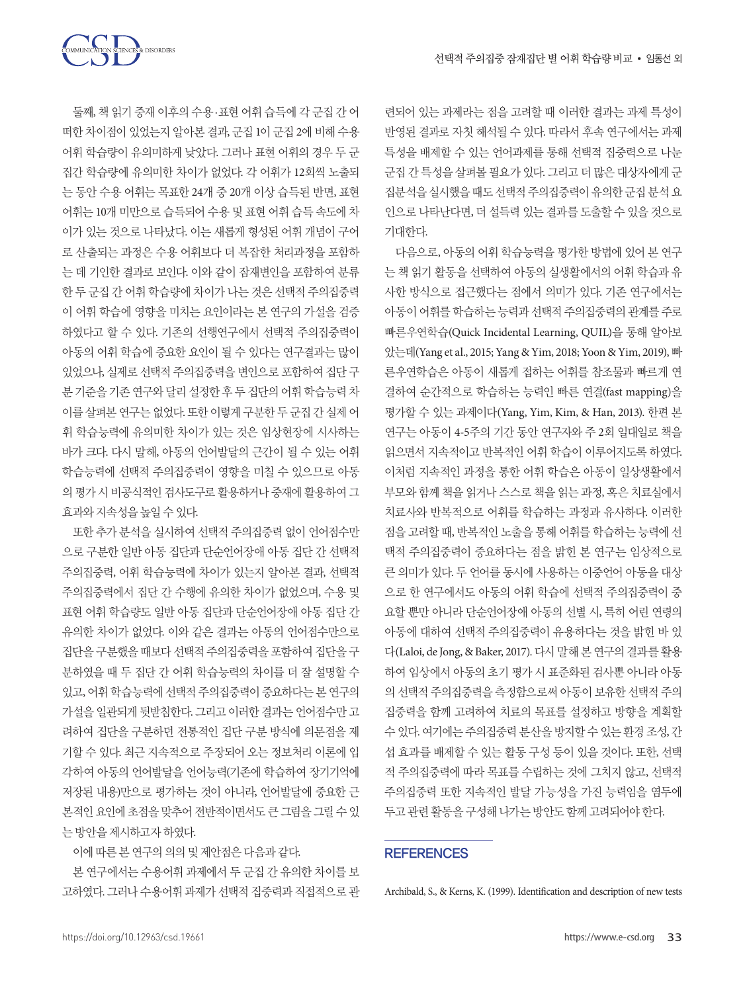둘째, 책 읽기 중재 이후의 수용·표현 어휘 습득에 각 군집 간 어 떠한 차이점이 있었는지 알아본 결과, 군집 1이 군집 2에 비해 수용 어휘 학습량이 유의미하게 낮았다. 그러나 표현 어휘의 경우 두 군 집간 학습량에 유의미한 차이가 없었다. 각 어휘가 12회씩 노출되 는 동안 수용 어휘는 목표한 24개 중 20개 이상 습득된 반면, 표현 어휘는 10개 미만으로 습득되어 수용 및 표현 어휘 습득 속도에 차 이가 있는 것으로 나타났다. 이는 새롭게 형성된 어휘 개념이 구어 로 산출되는 과정은 수용 어휘보다 더 복잡한 처리과정을 포함하 는 데 기인한 결과로 보인다. 이와 같이 잠재변인을 포함하여 분류 한 두 군집 간 어휘 학습량에 차이가 나는 것은 선택적 주의집중력 이 어휘 학습에 영향을 미치는 요인이라는 본 연구의 가설을 검증 하였다고 할 수 있다. 기존의 선행연구에서 선택적 주의집중력이 아동의 어휘 학습에 중요한 요인이 될 수 있다는 연구결과는 많이 있었으나, 실제로 선택적 주의집중력을 변인으로 포함하여 집단 구 분 기준을 기존 연구와 달리 설정한 후 두 집단의 어휘 학습능력 차 이를 살펴본 연구는 없었다. 또한 이렇게 구분한 두 군집 간 실제 어 휘 학습능력에 유의미한 차이가 있는 것은 임상현장에 시사하는 바가 크다. 다시 말해, 아동의 언어발달의 근간이 될 수 있는 어휘 학습능력에 선택적 주의집중력이 영향을 미칠 수 있으므로 아동 의 평가 시 비공식적인 검사도구로 활용하거나 중재에 활용하여 그 효과와지속성을높일수있다.

COMMUNICATION SCIENCES & DISORDERS

또한 추가 분석을 실시하여 선택적 주의집중력 없이 언어점수만 으로 구분한 일반 아동 집단과 단순언어장애 아동 집단 간 선택적 주의집중력, 어휘 학습능력에 차이가 있는지 알아본 결과, 선택적 주의집중력에서 집단 간 수행에 유의한 차이가 없었으며, 수용 및 표현 어휘 학습량도 일반 아동 집단과 단순언어장애 아동 집단 간 유의한 차이가 없었다. 이와 같은 결과는 아동의 언어점수만으로 집단을 구분했을 때보다 선택적 주의집중력을 포함하여 집단을 구 분하였을 때 두 집단 간 어휘 학습능력의 차이를 더 잘 설명할 수 있고, 어휘 학습능력에 선택적 주의집중력이 중요하다는 본 연구의 가설을 일관되게 뒷받침한다. 그리고 이러한 결과는 언어점수만 고 려하여 집단을 구분하던 전통적인 집단 구분 방식에 의문점을 제 기할 수 있다. 최근 지속적으로 주장되어 오는 정보처리 이론에 입 각하여 아동의 언어발달을 언어능력(기존에 학습하여 장기기억에 저장된 내용)만으로 평가하는 것이 아니라, 언어발달에 중요한 근 본적인 요인에 초점을 맞추어 전반적이면서도 큰 그림을 그릴 수 있 는방안을제시하고자하였다.

이에따른본연구의의의및제안점은다음과같다.

본 연구에서는 수용어휘 과제에서 두 군집 간 유의한 차이를 보 고하였다. 그러나 수용어휘 과제가 선택적 집중력과 직접적으로 관

련되어 있는 과제라는 점을 고려할 때 이러한 결과는 과제 특성이 반영된 결과로 자칫 해석될 수 있다. 따라서 후속 연구에서는 과제 특성을 배제할 수 있는 언어과제를 통해 선택적 집중력으로 나눈 군집 간 특성을 살펴볼 필요가 있다. 그리고 더 많은 대상자에게 군 집분석을실시했을때도선택적주의집중력이유의한군집분석요 인으로 나타난다면, 더 설득력 있는 결과를 도출할 수 있을 것으로 기대한다.

다음으로, 아동의 어휘 학습능력을 평가한 방법에 있어 본 연구 는 책 읽기 활동을 선택하여 아동의 실생활에서의 어휘 학습과 유 사한 방식으로 접근했다는 점에서 의미가 있다. 기존 연구에서는 아동이 어휘를 학습하는 능력과 선택적 주의집중력의 관계를 주로 빠른우연학습(Quick Incidental Learning, QUIL)을 통해 알아보 았는데(Yang et al., 2015; Yang & Yim, 2018; Yoon & Yim, 2019), 빠 른우연학습은 아동이 새롭게 접하는 어휘를 참조물과 빠르게 연 결하여 순간적으로 학습하는 능력인 빠른 연결(fast mapping)을 평가할 수 있는 과제이다(Yang, Yim, Kim, & Han, 2013). 한편 본 연구는 아동이 4-5주의 기간 동안 연구자와 주 2회 일대일로 책을 읽으면서 지속적이고 반복적인 어휘 학습이 이루어지도록 하였다. 이처럼 지속적인 과정을 통한 어휘 학습은 아동이 일상생활에서 부모와 함께 책을 읽거나 스스로 책을 읽는 과정, 혹은 치료실에서 치료사와 반복적으로 어휘를 학습하는 과정과 유사하다. 이러한 점을 고려할 때, 반복적인 노출을 통해 어휘를 학습하는 능력에 선 택적 주의집중력이 중요하다는 점을 밝힌 본 연구는 임상적으로 큰 의미가 있다. 두 언어를 동시에 사용하는 이중언어 아동을 대상 으로 한 연구에서도 아동의 어휘 학습에 선택적 주의집중력이 중 요할 뿐만 아니라 단순언어장애 아동의 선별 시, 특히 어린 연령의 아동에 대하여 선택적 주의집중력이 유용하다는 것을 밝힌 바 있 다(Laloi, de Jong, & Baker, 2017). 다시 말해 본 연구의 결과를 활용 하여 임상에서 아동의 초기 평가 시 표준화된 검사뿐 아니라 아동 의 선택적 주의집중력을 측정함으로써 아동이 보유한 선택적 주의 집중력을 함께 고려하여 치료의 목표를 설정하고 방향을 계획할 수 있다. 여기에는 주의집중력 분산을 방지할 수 있는 환경 조성, 간 섭 효과를 배제할 수 있는 활동 구성 등이 있을 것이다. 또한, 선택 적 주의집중력에 따라 목표를 수립하는 것에 그치지 않고, 선택적 주의집중력 또한 지속적인 발달 가능성을 가진 능력임을 염두에 두고관련활동을구성해나가는방안도함께고려되어야한다.

#### **REFERENCES**

Archibald, S., & Kerns, K. (1999). Identification and description of new tests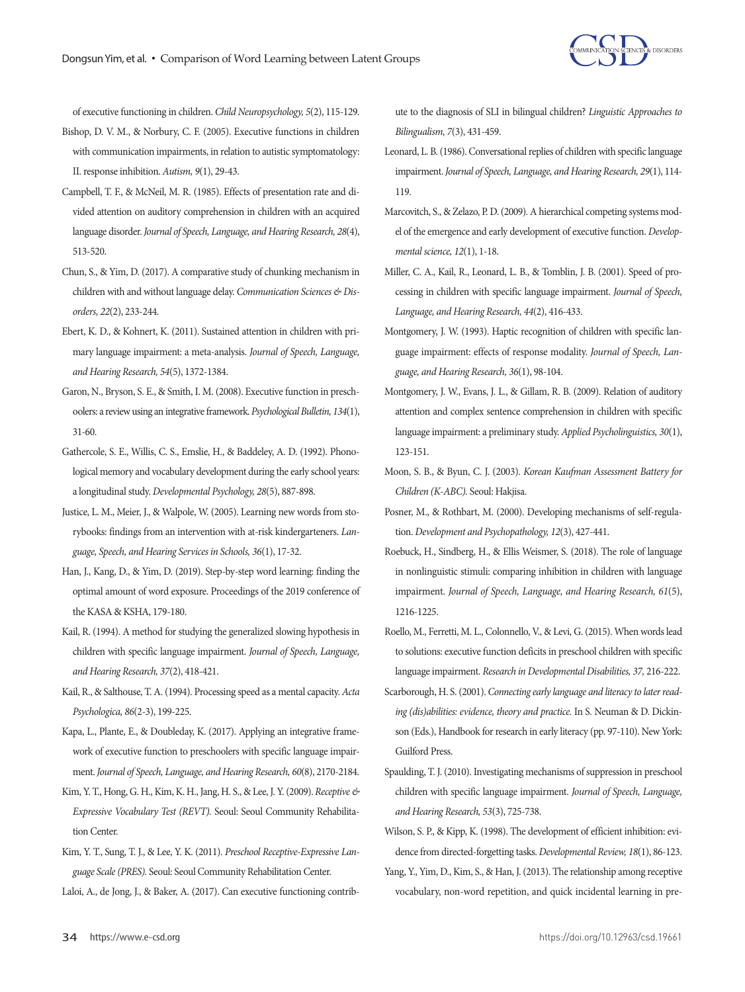

of executive functioning in children. *Child Neuropsychology, 5*(2), 115-129.

- Bishop, D. V. M., & Norbury, C. F. (2005). Executive functions in children with communication impairments, in relation to autistic symptomatology: II. response inhibition. *Autism, 9*(1), 29-43.
- Campbell, T. F., & McNeil, M. R. (1985). Effects of presentation rate and divided attention on auditory comprehension in children with an acquired language disorder. *Journal of Speech, Language, and Hearing Research, 28*(4), 513-520.
- Chun, S., & Yim, D. (2017). A comparative study of chunking mechanism in children with and without language delay. *Communication Sciences & Disorders, 22*(2), 233-244.
- Ebert, K. D., & Kohnert, K. (2011). Sustained attention in children with primary language impairment: a meta-analysis. *Journal of Speech, Language, and Hearing Research, 54*(5), 1372-1384.
- Garon, N., Bryson, S. E., & Smith, I. M. (2008). Executive function in preschoolers: a review using an integrative framework. *Psychological Bulletin, 134*(1), 31-60.
- Gathercole, S. E., Willis, C. S., Emslie, H., & Baddeley, A. D. (1992). Phonological memory and vocabulary development during the early school years: a longitudinal study. *Developmental Psychology, 28*(5), 887-898.
- Justice, L. M., Meier, J., & Walpole, W. (2005). Learning new words from storybooks: findings from an intervention with at-risk kindergarteners. *Language, Speech, and Hearing Services in Schools, 36*(1), 17-32.
- Han, J., Kang, D., & Yim, D. (2019). Step-by-step word learning: finding the optimal amount of word exposure. Proceedings of the 2019 conference of the KASA & KSHA, 179-180.
- Kail, R. (1994). A method for studying the generalized slowing hypothesis in children with specific language impairment. *Journal of Speech, Language, and Hearing Research, 37*(2), 418-421.
- Kail, R., & Salthouse, T. A. (1994). Processing speed as a mental capacity. *Acta Psychologica, 86*(2-3), 199-225.
- Kapa, L., Plante, E., & Doubleday, K. (2017). Applying an integrative framework of executive function to preschoolers with specific language impairment. *Journal of Speech, Language, and Hearing Research, 60*(8), 2170-2184.
- Kim, Y. T., Hong, G. H., Kim, K. H., Jang, H. S., & Lee, J. Y. (2009). *Receptive & Expressive Vocabulary Test (REVT).* Seoul: Seoul Community Rehabilitation Center.
- Kim, Y. T., Sung, T. J., & Lee, Y. K. (2011). *Preschool Receptive-Expressive Language Scale (PRES).* Seoul: Seoul Community Rehabilitation Center.
- Laloi, A., de Jong, J., & Baker, A. (2017). Can executive functioning contrib-

ute to the diagnosis of SLI in bilingual children? *Linguistic Approaches to Bilingualism, 7*(3), 431-459.

- Leonard, L. B. (1986). Conversational replies of children with specific language impairment. *Journal of Speech, Language, and Hearing Research, 29*(1), 114- 119.
- Marcovitch, S., & Zelazo, P. D. (2009). A hierarchical competing systems model of the emergence and early development of executive function. *Developmental science, 12*(1), 1-18.
- Miller, C. A., Kail, R., Leonard, L. B., & Tomblin, J. B. (2001). Speed of processing in children with specific language impairment. *Journal of Speech, Language, and Hearing Research, 44*(2), 416-433.
- Montgomery, J. W. (1993). Haptic recognition of children with specific language impairment: effects of response modality. *Journal of Speech, Language, and Hearing Research, 36*(1), 98-104.
- Montgomery, J. W., Evans, J. L., & Gillam, R. B. (2009). Relation of auditory attention and complex sentence comprehension in children with specific language impairment: a preliminary study. *Applied Psycholinguistics, 30*(1), 123-151.
- Moon, S. B., & Byun, C. J. (2003). *Korean Kaufman Assessment Battery for Children (K-ABC).* Seoul: Hakjisa.
- Posner, M., & Rothbart, M. (2000). Developing mechanisms of self-regulation. *Development and Psychopathology, 12*(3), 427-441.
- Roebuck, H., Sindberg, H., & Ellis Weismer, S. (2018). The role of language in nonlinguistic stimuli: comparing inhibition in children with language impairment. *Journal of Speech, Language, and Hearing Research, 61*(5), 1216-1225.
- Roello, M., Ferretti, M. L., Colonnello, V., & Levi, G. (2015). When words lead to solutions: executive function deficits in preschool children with specific language impairment. *Research in Developmental Disabilities, 37,* 216-222.
- Scarborough, H. S. (2001). *Connecting early language and literacy to later reading (dis)abilities: evidence, theory and practice.* In S. Neuman & D. Dickinson (Eds.), Handbook for research in early literacy (pp. 97-110). New York: Guilford Press.
- Spaulding, T. J. (2010). Investigating mechanisms of suppression in preschool children with specific language impairment. *Journal of Speech, Language, and Hearing Research, 53*(3), 725-738.
- Wilson, S. P., & Kipp, K. (1998). The development of efficient inhibition: evidence from directed-forgetting tasks. *Developmental Review, 18*(1), 86-123.
- Yang, Y., Yim, D., Kim, S., & Han, J. (2013). The relationship among receptive vocabulary, non-word repetition, and quick incidental learning in pre-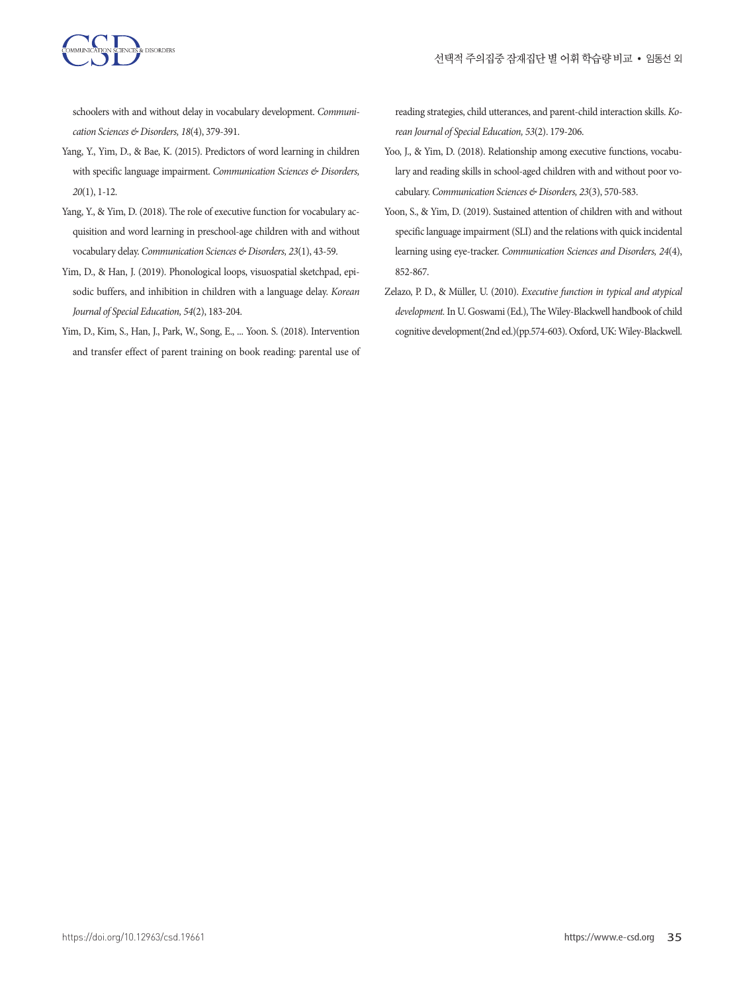

schoolers with and without delay in vocabulary development. *Communication Sciences & Disorders, 18*(4), 379-391.

- Yang, Y., Yim, D., & Bae, K. (2015). Predictors of word learning in children with specific language impairment. *Communication Sciences & Disorders, 20*(1), 1-12.
- Yang, Y., & Yim, D. (2018). The role of executive function for vocabulary acquisition and word learning in preschool-age children with and without vocabulary delay. *Communication Sciences & Disorders, 23*(1), 43-59.
- Yim, D., & Han, J. (2019). Phonological loops, visuospatial sketchpad, episodic buffers, and inhibition in children with a language delay. *Korean Journal of Special Education, 54*(2), 183-204.
- Yim, D., Kim, S., Han, J., Park, W., Song, E., ... Yoon. S. (2018). Intervention and transfer effect of parent training on book reading: parental use of

reading strategies, child utterances, and parent-child interaction skills. *Korean Journal of Special Education, 53*(2). 179-206.

- Yoo, J., & Yim, D. (2018). Relationship among executive functions, vocabulary and reading skills in school-aged children with and without poor vocabulary. *Communication Sciences & Disorders, 23*(3), 570-583.
- Yoon, S., & Yim, D. (2019). Sustained attention of children with and without specific language impairment (SLI) and the relations with quick incidental learning using eye-tracker. *Communication Sciences and Disorders, 24*(4), 852-867.
- Zelazo, P. D., & Müller, U. (2010). *Executive function in typical and atypical development.* In U. Goswami (Ed.), The Wiley-Blackwell handbook of child cognitive development(2nd ed.)(pp.574-603). Oxford, UK: Wiley-Blackwell.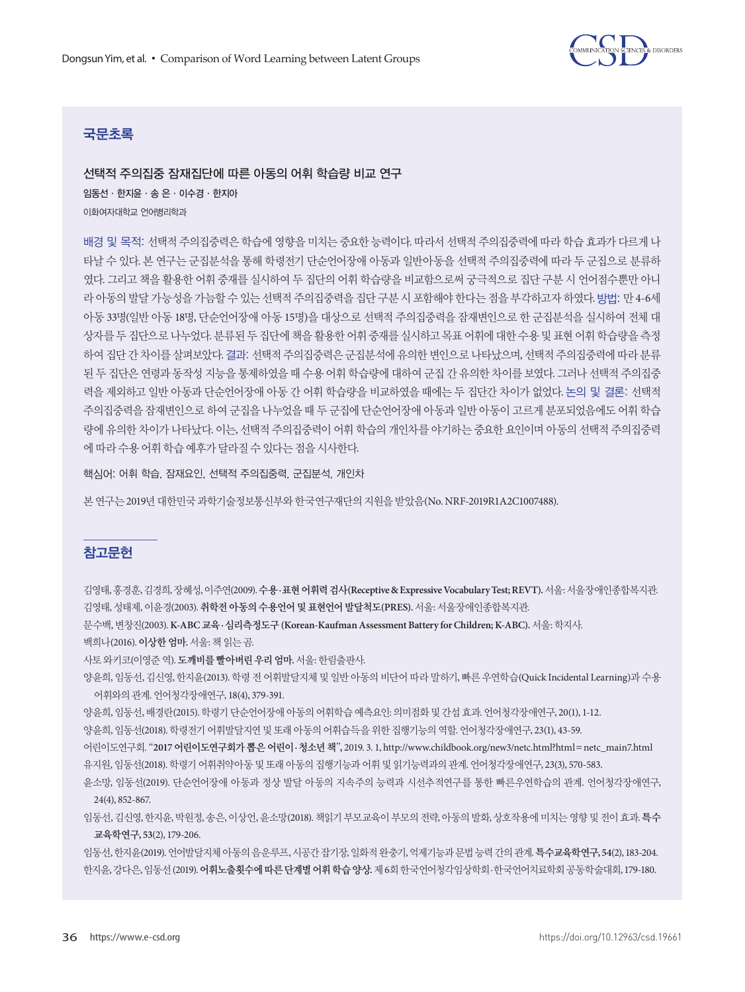

## 국문초록

선택적 주의집중 잠재집단에 따른 아동의 어휘 학습량 비교 연구 임동선·한지윤·송 은·이수경·한지아 이화여자대학교 언어병리학과

배경 및 목적: 선택적 주의집중력은 학습에 영향을 미치는 중요한 능력이다. 따라서 선택적 주의집중력에 따라 학습 효과가 다르게 나 타날 수 있다. 본 연구는 군집분석을 통해 학령전기 단순언어장애 아동과 일반아동을 선택적 주의집중력에 따라 두 군집으로 분류하 였다. 그리고 책을 활용한 어휘 중재를 실시하여 두 집단의 어휘 학습량을 비교함으로써 궁극적으로 집단 구분 시 언어점수뿐만 아니 라 아동의 발달 가능성을 가늠할 수 있는 선택적 주의집중력을 집단 구분 시 포함해야 한다는 점을 부각하고자 하였다. 방법: 만 4-6세 아동 33명(일반 아동 18명, 단순언어장애 아동 15명)을 대상으로 선택적 주의집중력을 잠재변인으로 한 군집분석을 실시하여 전체 대 상자를 두 집단으로 나누었다. 분류된 두 집단에 책을 활용한 어휘 중재를 실시하고 목표 어휘에 대한 수용 및 표현 어휘 학습량을 측정 하여 집단 간 차이를 살펴보았다. 결과: 선택적 주의집중력은 군집분석에 유의한 변인으로 나타났으며, 선택적 주의집중력에 따라 분류 된 두 집단은 연령과 동작성 지능을 통제하였을 때 수용 어휘 학습량에 대하여 군집 간 유의한 차이를 보였다. 그러나 선택적 주의집중 력을 제외하고 일반 아동과 단순언어장애 아동 간 어휘 학습량을 비교하였을 때에는 두 집단간 차이가 없었다. 논의 및 결론: 선택적 주의집중력을 잠재변인으로 하여 군집을 나누었을 때 두 군집에 단순언어장애 아동과 일반 아동이 고르게 분포되었음에도 어휘 학습 량에 유의한 차이가 나타났다. 이는, 선택적 주의집중력이 어휘 학습의 개인차를 야기하는 중요한 요인이며 아동의 선택적 주의집중력 에따라수용어휘학습예후가달라질수있다는점을시사한다.

핵심어: 어휘 학습, 잠재요인, 선택적 주의집중력, 군집분석, 개인차

본연구는 2019년대한민국과학기술정보통신부와한국연구재단의지원을받았음(No. NRF-2019R1A2C1007488).

#### 참고문헌

김영태, 홍경훈, 김경희, 장혜성, 이주연(2009). 수용**·**표현어휘력검사**(Receptive & Expressive Vocabulary Test; REVT).**서울: 서울장애인종합복지관. 김영태, 성태제, 이윤경(2003). 취학전아동의수용언어및표현언어발달척도**(PRES).** 서울: 서울장애인종합복지관.

문수백, 변창진(2003). **K-ABC** 교육**·**심리측정도구 **(Korean-Kaufman Assessment Battery for Children; K-ABC).** 서울: 학지사.

백희나(2016). 이상한엄마**.**서울: 책읽는곰.

사토와키코(이영준역).도깨비를빨아버린우리엄마**.** 서울: 한림출판사.

양윤희, 임동선, 김신영, 한지윤(2013). 학령 전 어휘발달지체 및 일반 아동의 비단어 따라 말하기, 빠른 우연학습(Quick Incidental Learning)과 수용 어휘와의관계. 언어청각장애연구, 18(4), 379-391.

양윤희, 임동선, 배경란(2015). 학령기단순언어장애아동의어휘학습예측요인: 의미점화및간섭효과. 언어청각장애연구, 20(1), 1-12.

양윤희, 임동선(2018). 학령전기 어휘발달지연 및 또래 아동의 어휘습득을 위한 집행기능의 역할. 언어청각장애연구, 23(1), 43-59.

어린이도연구회. "**2017** 어린이도연구회가뽑은어린이**·**청소년책"**,** 2019. 3. 1, http://www.childbook.org/new3/netc.html?html=netc\_main7.html 유지원, 임동선(2018). 학령기어휘취약아동및또래아동의집행기능과어휘및읽기능력과의관계. 언어청각장애연구, 23(3), 570-583.

윤소망, 임동선(2019). 단순언어장애 아동과 정상 발달 아동의 지속주의 능력과 시선추적연구를 통한 빠른우연학습의 관계. 언어청각장애연구, 24(4), 852-867.

임동선, 김신영, 한지윤, 박원정, 송은, 이상언, 윤소망(2018). 책읽기 부모교육이 부모의 전략, 아동의 발화, 상호작용에 미치는 영향 및 전이 효과. 특수 교육학연구**, 53**(2), 179-206.

임동선, 한지윤(2019). 언어발달지체아동의음운루프, 시공간잡기장, 일화적완충기, 억제기능과문법능력간의관계. 특수교육학연구**, 54**(2), 183-204. 한지윤, 강다은, 임동선 (2019). 어휘노출횟수에따른단계별어휘학습양상**.**제 6회한국언어청각임상학회·한국언어치료학회공동학술대회, 179-180.